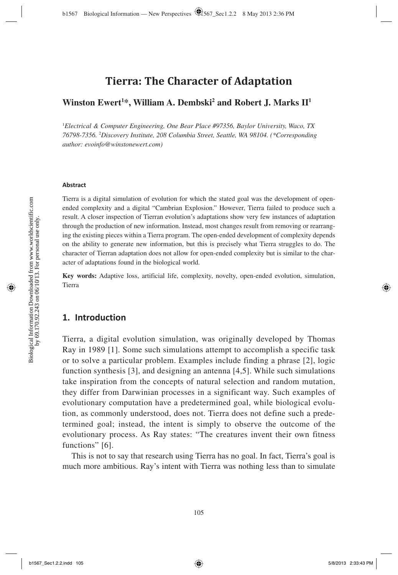# **Tierra: The Character of Adaptation**

### **Winston Ewert<sup>1\*</sup>, William A. Dembski<sup>2</sup> and Robert J. Marks II<sup>1</sup>**

1 *Electrical & Computer Engineering, One Bear Place #97356, Baylor University, Waco, TX 76798-7356.* <sup>2</sup> *Discovery Institute, 208 Columbia Street, Seattle, WA 98104. (\*Corresponding author: evoinfo@winstonewert.com)*

#### **Abstract**

Tierra is a digital simulation of evolution for which the stated goal was the development of openended complexity and a digital "Cambrian Explosion." However, Tierra failed to produce such a result. A closer inspection of Tierran evolution's adaptations show very few instances of adaptation through the production of new information. Instead, most changes result from removing or rearranging the existing pieces within a Tierra program. The open-ended development of complexity depends on the ability to generate new information, but this is precisely what Tierra struggles to do. The character of Tierran adaptation does not allow for open-ended complexity but is similar to the character of adaptations found in the biological world.

**Key words:** Adaptive loss, artificial life, complexity, novelty, open-ended evolution, simulation, Tierra

### **1. Introduction**

Tierra, a digital evolution simulation, was originally developed by Thomas Ray in 1989 [1]. Some such simulations attempt to accomplish a specific task or to solve a particular problem. Examples include finding a phrase [2], logic function synthesis [3], and designing an antenna [4,5]. While such simulations take inspiration from the concepts of natural selection and random mutation, they differ from Darwinian processes in a significant way. Such examples of evolutionary computation have a predetermined goal, while biological evolution, as commonly understood, does not. Tierra does not define such a predetermined goal; instead, the intent is simply to observe the outcome of the evolutionary process. As Ray states: "The creatures invent their own fitness functions" [6].

This is not to say that research using Tierra has no goal. In fact, Tierra's goal is much more ambitious. Ray's intent with Tierra was nothing less than to simulate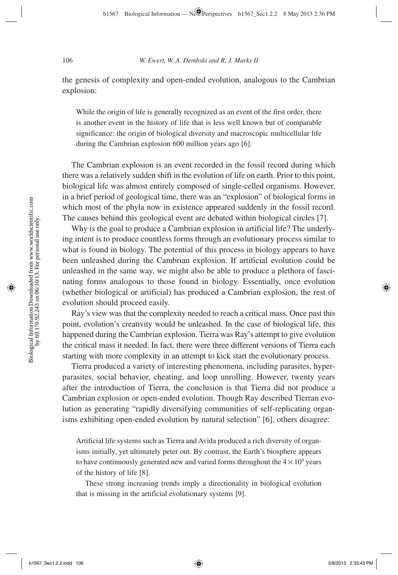the genesis of complexity and open-ended evolution, analogous to the Cambrian explosion:

While the origin of life is generally recognized as an event of the first order, there is another event in the history of life that is less well known but of comparable significance: the origin of biological diversity and macroscopic multicellular life during the Cambrian explosion 600 million years ago [6].

The Cambrian explosion is an event recorded in the fossil record during which there was a relatively sudden shift in the evolution of life on earth. Prior to this point, biological life was almost entirely composed of single-celled organisms. However, in a brief period of geological time, there was an "explosion" of biological forms in which most of the phyla now in existence appeared suddenly in the fossil record. The causes behind this geological event are debated within biological circles [7].

Why is the goal to produce a Cambrian explosion in artificial life? The underlying intent is to produce countless forms through an evolutionary process similar to what is found in biology. The potential of this process in biology appears to have been unleashed during the Cambrian explosion. If artificial evolution could be unleashed in the same way, we might also be able to produce a plethora of fascinating forms analogous to those found in biology. Essentially, once evolution (whether biological or artificial) has produced a Cambrian explosion, the rest of evolution should proceed easily.

Ray's view was that the complexity needed to reach a critical mass. Once past this point, evolution's creativity would be unleashed. In the case of biological life, this happened during the Cambrian explosion. Tierra was Ray's attempt to give evolution the critical mass it needed. In fact, there were three different versions of Tierra each starting with more complexity in an attempt to kick start the evolutionary process.

Tierra produced a variety of interesting phenomena, including parasites, hyperparasites, social behavior, cheating, and loop unrolling. However, twenty years after the introduction of Tierra, the conclusion is that Tierra did not produce a Cambrian explosion or open-ended evolution. Though Ray described Tierran evolution as generating "rapidly diversifying communities of self-replicating organisms exhibiting open-ended evolution by natural selection" [6], others disagree:

Artificial life systems such as Tierra and Avida produced a rich diversity of organisms initially, yet ultimately peter out. By contrast, the Earth's biosphere appears to have continuously generated new and varied forms throughout the  $4 \times 10^9$  years of the history of life [8].

These strong increasing trends imply a directionality in biological evolution that is missing in the artificial evolutionary systems [9].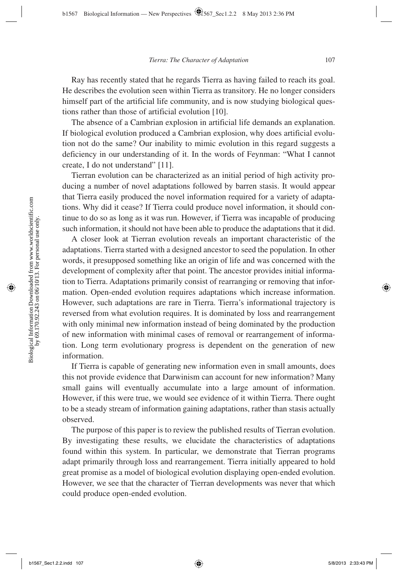Ray has recently stated that he regards Tierra as having failed to reach its goal. He describes the evolution seen within Tierra as transitory. He no longer considers himself part of the artificial life community, and is now studying biological questions rather than those of artificial evolution [10].

The absence of a Cambrian explosion in artificial life demands an explanation. If biological evolution produced a Cambrian explosion, why does artificial evolution not do the same? Our inability to mimic evolution in this regard suggests a deficiency in our understanding of it. In the words of Feynman: "What I cannot create, I do not understand" [11].

Tierran evolution can be characterized as an initial period of high activity producing a number of novel adaptations followed by barren stasis. It would appear that Tierra easily produced the novel information required for a variety of adaptations. Why did it cease? If Tierra could produce novel information, it should continue to do so as long as it was run. However, if Tierra was incapable of producing such information, it should not have been able to produce the adaptations that it did.

A closer look at Tierran evolution reveals an important characteristic of the adaptations. Tierra started with a designed ancestor to seed the population. In other words, it presupposed something like an origin of life and was concerned with the development of complexity after that point. The ancestor provides initial information to Tierra. Adaptations primarily consist of rearranging or removing that information. Open-ended evolution requires adaptations which increase information. However, such adaptations are rare in Tierra. Tierra's informational trajectory is reversed from what evolution requires. It is dominated by loss and rearrangement with only minimal new information instead of being dominated by the production of new information with minimal cases of removal or rearrangement of information. Long term evolutionary progress is dependent on the generation of new information.

If Tierra is capable of generating new information even in small amounts, does this not provide evidence that Darwinism can account for new information? Many small gains will eventually accumulate into a large amount of information. However, if this were true, we would see evidence of it within Tierra. There ought to be a steady stream of information gaining adaptations, rather than stasis actually observed.

The purpose of this paper is to review the published results of Tierran evolution. By investigating these results, we elucidate the characteristics of adaptations found within this system. In particular, we demonstrate that Tierran programs adapt primarily through loss and rearrangement. Tierra initially appeared to hold great promise as a model of biological evolution displaying open-ended evolution. However, we see that the character of Tierran developments was never that which could produce open-ended evolution.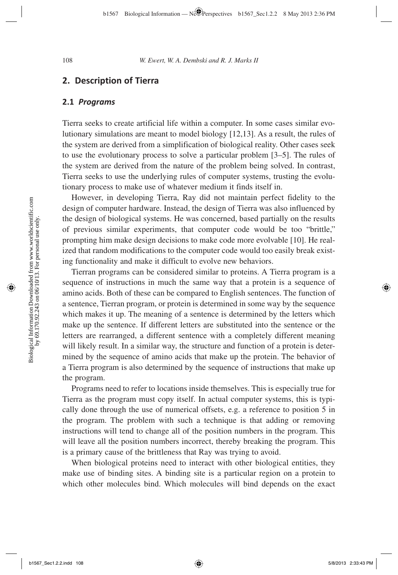### **2. Description of Tierra**

#### **2.1** *Programs*

 Tierra seeks to create artificial life within a computer. In some cases similar evolutionary simulations are meant to model biology [12,13]. As a result, the rules of the system are derived from a simplification of biological reality. Other cases seek to use the evolutionary process to solve a particular problem [3–5]. The rules of the system are derived from the nature of the problem being solved. In contrast, Tierra seeks to use the underlying rules of computer systems, trusting the evolutionary process to make use of whatever medium it finds itself in.

However, in developing Tierra, Ray did not maintain perfect fidelity to the design of computer hardware. Instead, the design of Tierra was also influenced by the design of biological systems. He was concerned, based partially on the results of previous similar experiments, that computer code would be too "brittle," prompting him make design decisions to make code more evolvable [10]. He realized that random modifications to the computer code would too easily break existing functionality and make it difficult to evolve new behaviors.

Tierran programs can be considered similar to proteins. A Tierra program is a sequence of instructions in much the same way that a protein is a sequence of amino acids. Both of these can be compared to English sentences. The function of a sentence, Tierran program, or protein is determined in some way by the sequence which makes it up. The meaning of a sentence is determined by the letters which make up the sentence. If different letters are substituted into the sentence or the letters are rearranged, a different sentence with a completely different meaning will likely result. In a similar way, the structure and function of a protein is determined by the sequence of amino acids that make up the protein. The behavior of a Tierra program is also determined by the sequence of instructions that make up the program.

Programs need to refer to locations inside themselves. This is especially true for Tierra as the program must copy itself. In actual computer systems, this is typically done through the use of numerical offsets, e.g. a reference to position 5 in the program. The problem with such a technique is that adding or removing instructions will tend to change all of the position numbers in the program. This will leave all the position numbers incorrect, thereby breaking the program. This is a primary cause of the brittleness that Ray was trying to avoid.

When biological proteins need to interact with other biological entities, they make use of binding sites. A binding site is a particular region on a protein to which other molecules bind. Which molecules will bind depends on the exact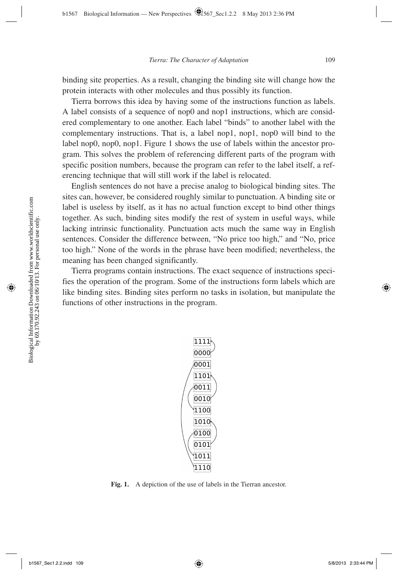binding site properties. As a result, changing the binding site will change how the protein interacts with other molecules and thus possibly its function.

 Tierra borrows this idea by having some of the instructions function as labels. A label consists of a sequence of nop0 and nop1 instructions, which are considered complementary to one another. Each label "binds" to another label with the complementary instructions. That is, a label nop1, nop1, nop0 will bind to the label nop0, nop0, nop1. Figure 1 shows the use of labels within the ancestor program. This solves the problem of referencing different parts of the program with specific position numbers, because the program can refer to the label itself, a referencing technique that will still work if the label is relocated.

English sentences do not have a precise analog to biological binding sites. The sites can, however, be considered roughly similar to punctuation. A binding site or label is useless by itself, as it has no actual function except to bind other things together. As such, binding sites modify the rest of system in useful ways, while lacking intrinsic functionality. Punctuation acts much the same way in English sentences. Consider the difference between, "No price too high," and "No, price too high." None of the words in the phrase have been modified; nevertheless, the meaning has been changed significantly.

 Tierra programs contain instructions. The exact sequence of instructions specifies the operation of the program. Some of the instructions form labels which are like binding sites. Binding sites perform no tasks in isolation, but manipulate the functions of other instructions in the program.



**Fig. 1.** A depiction of the use of labels in the Tierran ancestor.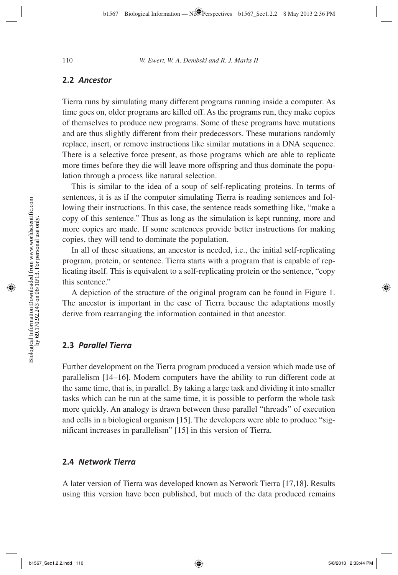#### **2.2** *Ancestor*

 Tierra runs by simulating many different programs running inside a computer. As time goes on, older programs are killed off. As the programs run, they make copies of themselves to produce new programs. Some of these programs have mutations and are thus slightly different from their predecessors. These mutations randomly replace, insert, or remove instructions like similar mutations in a DNA sequence. There is a selective force present, as those programs which are able to replicate more times before they die will leave more offspring and thus dominate the population through a process like natural selection.

This is similar to the idea of a soup of self-replicating proteins. In terms of sentences, it is as if the computer simulating Tierra is reading sentences and following their instructions. In this case, the sentence reads something like, "make a copy of this sentence." Thus as long as the simulation is kept running, more and more copies are made. If some sentences provide better instructions for making copies, they will tend to dominate the population.

In all of these situations, an ancestor is needed, i.e., the initial self-replicating program, protein, or sentence. Tierra starts with a program that is capable of replicating itself. This is equivalent to a self-replicating protein or the sentence, "copy this sentence."

A depiction of the structure of the original program can be found in Figure 1. The ancestor is important in the case of Tierra because the adaptations mostly derive from rearranging the information contained in that ancestor.

#### **2.3** *Parallel Tierra*

Further development on the Tierra program produced a version which made use of parallelism [14–16]. Modern computers have the ability to run different code at the same time, that is, in parallel. By taking a large task and dividing it into smaller tasks which can be run at the same time, it is possible to perform the whole task more quickly. An analogy is drawn between these parallel "threads" of execution and cells in a biological organism [15]. The developers were able to produce "significant increases in parallelism" [15] in this version of Tierra.

#### **2.4** *Network Tierra*

A later version of Tierra was developed known as Network Tierra [17,18]. Results using this version have been published, but much of the data produced remains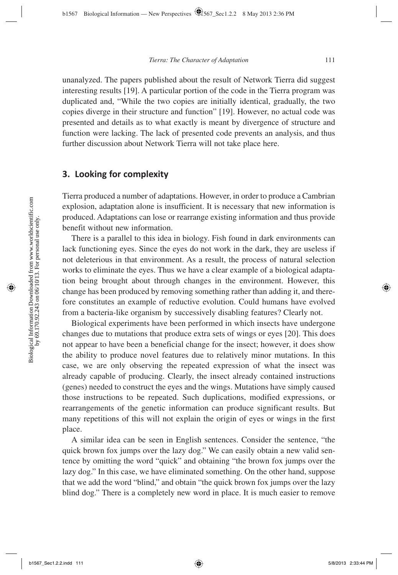unanalyzed. The papers published about the result of Network Tierra did suggest interesting results [19]. A particular portion of the code in the Tierra program was duplicated and, "While the two copies are initially identical, gradually, the two copies diverge in their structure and function" [19]. However, no actual code was presented and details as to what exactly is meant by divergence of structure and function were lacking. The lack of presented code prevents an analysis, and thus further discussion about Network Tierra will not take place here.

### **3. Looking for complexity**

Tierra produced a number of adaptations. However, in order to produce a Cambrian explosion, adaptation alone is insufficient. It is necessary that new information is produced. Adaptations can lose or rearrange existing information and thus provide benefit without new information.

There is a parallel to this idea in biology. Fish found in dark environments can lack functioning eyes. Since the eyes do not work in the dark, they are useless if not deleterious in that environment. As a result, the process of natural selection works to eliminate the eyes. Thus we have a clear example of a biological adaptation being brought about through changes in the environment. However, this change has been produced by removing something rather than adding it, and therefore constitutes an example of reductive evolution. Could humans have evolved from a bacteria-like organism by successively disabling features? Clearly not.

Biological experiments have been performed in which insects have undergone changes due to mutations that produce extra sets of wings or eyes [20]. This does not appear to have been a beneficial change for the insect; however, it does show the ability to produce novel features due to relatively minor mutations. In this case, we are only observing the repeated expression of what the insect was already capable of producing. Clearly, the insect already contained instructions (genes) needed to construct the eyes and the wings. Mutations have simply caused those instructions to be repeated. Such duplications, modified expressions, or rearrangements of the genetic information can produce significant results. But many repetitions of this will not explain the origin of eyes or wings in the first place.

A similar idea can be seen in English sentences. Consider the sentence, "the quick brown fox jumps over the lazy dog." We can easily obtain a new valid sentence by omitting the word "quick" and obtaining "the brown fox jumps over the lazy dog." In this case, we have eliminated something. On the other hand, suppose that we add the word "blind," and obtain "the quick brown fox jumps over the lazy blind dog." There is a completely new word in place. It is much easier to remove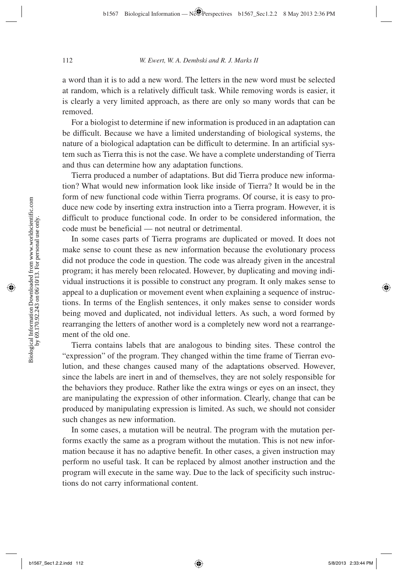a word than it is to add a new word. The letters in the new word must be selected at random, which is a relatively difficult task. While removing words is easier, it is clearly a very limited approach, as there are only so many words that can be removed.

For a biologist to determine if new information is produced in an adaptation can be difficult. Because we have a limited understanding of biological systems, the nature of a biological adaptation can be difficult to determine. In an artificial system such as Tierra this is not the case. We have a complete understanding of Tierra and thus can determine how any adaptation functions.

 Tierra produced a number of adaptations. But did Tierra produce new information? What would new information look like inside of Tierra? It would be in the form of new functional code within Tierra programs. Of course, it is easy to produce new code by inserting extra instruction into a Tierra program. However, it is difficult to produce functional code. In order to be considered information, the code must be beneficial — not neutral or detrimental.

In some cases parts of Tierra programs are duplicated or moved. It does not make sense to count these as new information because the evolutionary process did not produce the code in question. The code was already given in the ancestral program; it has merely been relocated. However, by duplicating and moving individual instructions it is possible to construct any program. It only makes sense to appeal to a duplication or movement event when explaining a sequence of instructions. In terms of the English sentences, it only makes sense to consider words being moved and duplicated, not individual letters. As such, a word formed by rearranging the letters of another word is a completely new word not a rearrangement of the old one.

Tierra contains labels that are analogous to binding sites. These control the "expression" of the program. They changed within the time frame of Tierran evolution, and these changes caused many of the adaptations observed. However, since the labels are inert in and of themselves, they are not solely responsible for the behaviors they produce. Rather like the extra wings or eyes on an insect, they are manipulating the expression of other information. Clearly, change that can be produced by manipulating expression is limited. As such, we should not consider such changes as new information.

In some cases, a mutation will be neutral. The program with the mutation performs exactly the same as a program without the mutation. This is not new information because it has no adaptive benefit. In other cases, a given instruction may perform no useful task. It can be replaced by almost another instruction and the program will execute in the same way. Due to the lack of specificity such instructions do not carry informational content.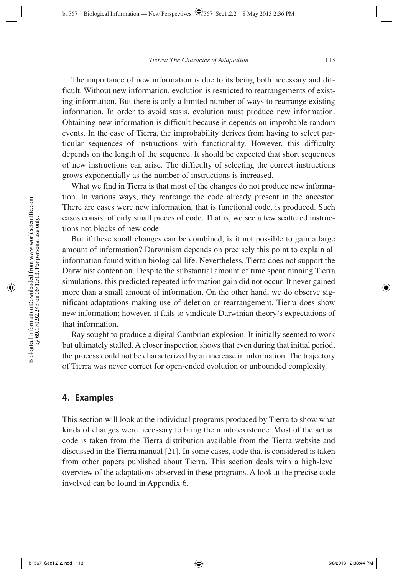The importance of new information is due to its being both necessary and difficult. Without new information, evolution is restricted to rearrangements of existing information. But there is only a limited number of ways to rearrange existing information. In order to avoid stasis, evolution must produce new information. Obtaining new information is difficult because it depends on improbable random events. In the case of Tierra, the improbability derives from having to select particular sequences of instructions with functionality. However, this difficulty depends on the length of the sequence. It should be expected that short sequences of new instructions can arise. The difficulty of selecting the correct instructions grows exponentially as the number of instructions is increased.

What we find in Tierra is that most of the changes do not produce new information. In various ways, they rearrange the code already present in the ancestor. There are cases were new information, that is functional code, is produced. Such cases consist of only small pieces of code. That is, we see a few scattered instructions not blocks of new code.

But if these small changes can be combined, is it not possible to gain a large amount of information? Darwinism depends on precisely this point to explain all information found within biological life. Nevertheless, Tierra does not support the Darwinist contention. Despite the substantial amount of time spent running Tierra simulations, this predicted repeated information gain did not occur. It never gained more than a small amount of information. On the other hand, we do observe significant adaptations making use of deletion or rearrangement. Tierra does show new information; however, it fails to vindicate Darwinian theory's expectations of that information.

Ray sought to produce a digital Cambrian explosion. It initially seemed to work but ultimately stalled. A closer inspection shows that even during that initial period, the process could not be characterized by an increase in information. The trajectory of Tierra was never correct for open-ended evolution or unbounded complexity.

#### **4. Examples**

This section will look at the individual programs produced by Tierra to show what kinds of changes were necessary to bring them into existence. Most of the actual code is taken from the Tierra distribution available from the Tierra website and discussed in the Tierra manual [21]. In some cases, code that is considered is taken from other papers published about Tierra. This section deals with a high-level overview of the adaptations observed in these programs. A look at the precise code involved can be found in Appendix 6.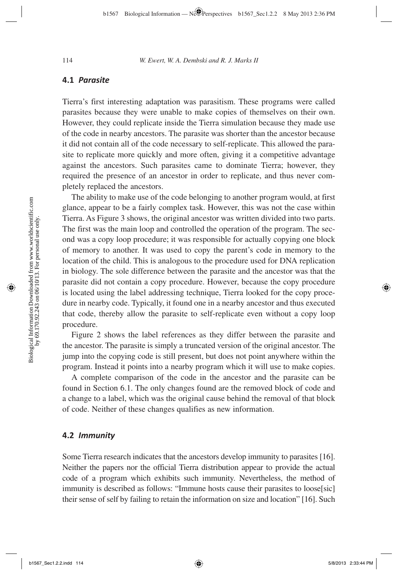#### **4.1** *Parasite*

Tierra's first interesting adaptation was parasitism. These programs were called parasites because they were unable to make copies of themselves on their own. However, they could replicate inside the Tierra simulation because they made use of the code in nearby ancestors. The parasite was shorter than the ancestor because it did not contain all of the code necessary to self-replicate. This allowed the parasite to replicate more quickly and more often, giving it a competitive advantage against the ancestors. Such parasites came to dominate Tierra; however, they required the presence of an ancestor in order to replicate, and thus never completely replaced the ancestors.

The ability to make use of the code belonging to another program would, at first glance, appear to be a fairly complex task. However, this was not the case within Tierra. As Figure 3 shows, the original ancestor was written divided into two parts. The first was the main loop and controlled the operation of the program. The second was a copy loop procedure; it was responsible for actually copying one block of memory to another. It was used to copy the parent's code in memory to the location of the child. This is analogous to the procedure used for DNA replication in biology. The sole difference between the parasite and the ancestor was that the parasite did not contain a copy procedure. However, because the copy procedure is located using the label addressing technique, Tierra looked for the copy procedure in nearby code. Typically, it found one in a nearby ancestor and thus executed that code, thereby allow the parasite to self-replicate even without a copy loop procedure.

Figure 2 shows the label references as they differ between the parasite and the ancestor. The parasite is simply a truncated version of the original ancestor. The jump into the copying code is still present, but does not point anywhere within the program. Instead it points into a nearby program which it will use to make copies.

A complete comparison of the code in the ancestor and the parasite can be found in Section 6.1. The only changes found are the removed block of code and a change to a label, which was the original cause behind the removal of that block of code. Neither of these changes qualifies as new information.

#### **4.2** *Immunity*

Some Tierra research indicates that the ancestors develop immunity to parasites [16]. Neither the papers nor the official Tierra distribution appear to provide the actual code of a program which exhibits such immunity. Nevertheless, the method of immunity is described as follows: "Immune hosts cause their parasites to loose[sic] their sense of self by failing to retain the information on size and location" [16]. Such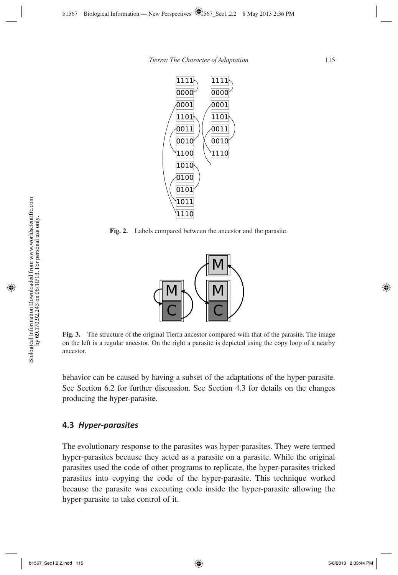

**Fig. 2.** Labels compared between the ancestor and the parasite.



**Fig. 3.** The structure of the original Tierra ancestor compared with that of the parasite. The image on the left is a regular ancestor. On the right a parasite is depicted using the copy loop of a nearby ancestor.

behavior can be caused by having a subset of the adaptations of the hyper-parasite. See Section 6.2 for further discussion. See Section 4.3 for details on the changes producing the hyper-parasite.

#### **4.3** *Hyper-parasites*

The evolutionary response to the parasites was hyper-parasites. They were termed hyper-parasites because they acted as a parasite on a parasite. While the original parasites used the code of other programs to replicate, the hyper-parasites tricked parasites into copying the code of the hyper-parasite. This technique worked because the parasite was executing code inside the hyper-parasite allowing the hyper-parasite to take control of it.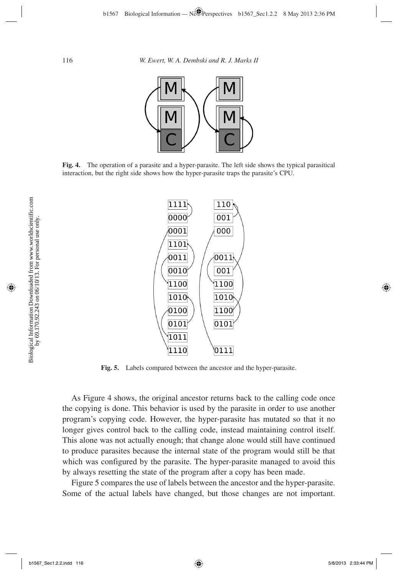

**Fig. 4.** The operation of a parasite and a hyper-parasite. The left side shows the typical parasitical interaction, but the right side shows how the hyper-parasite traps the parasite's CPU.



**Fig. 5.** Labels compared between the ancestor and the hyper-parasite.

As Figure 4 shows, the original ancestor returns back to the calling code once the copying is done. This behavior is used by the parasite in order to use another program's copying code. However, the hyper-parasite has mutated so that it no longer gives control back to the calling code, instead maintaining control itself. This alone was not actually enough; that change alone would still have continued to produce parasites because the internal state of the program would still be that which was configured by the parasite. The hyper-parasite managed to avoid this by always resetting the state of the program after a copy has been made.

Figure 5 compares the use of labels between the ancestor and the hyper-parasite. Some of the actual labels have changed, but those changes are not important.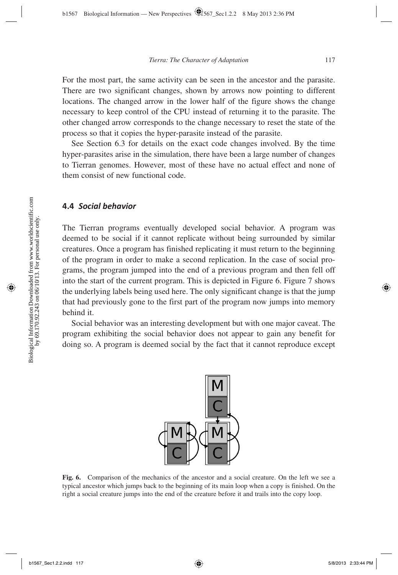For the most part, the same activity can be seen in the ancestor and the parasite. There are two significant changes, shown by arrows now pointing to different locations. The changed arrow in the lower half of the figure shows the change necessary to keep control of the CPU instead of returning it to the parasite. The other changed arrow corresponds to the change necessary to reset the state of the process so that it copies the hyper-parasite instead of the parasite.

See Section 6.3 for details on the exact code changes involved. By the time hyper-parasites arise in the simulation, there have been a large number of changes to Tierran genomes. However, most of these have no actual effect and none of them consist of new functional code.

#### **4.4** *Social behavior*

The Tierran programs eventually developed social behavior. A program was deemed to be social if it cannot replicate without being surrounded by similar creatures. Once a program has finished replicating it must return to the beginning of the program in order to make a second replication. In the case of social programs, the program jumped into the end of a previous program and then fell off into the start of the current program. This is depicted in Figure 6. Figure 7 shows the underlying labels being used here. The only significant change is that the jump that had previously gone to the first part of the program now jumps into memory behind it.

Social behavior was an interesting development but with one major caveat. The program exhibiting the social behavior does not appear to gain any benefit for doing so. A program is deemed social by the fact that it cannot reproduce except



**Fig. 6.** Comparison of the mechanics of the ancestor and a social creature. On the left we see a typical ancestor which jumps back to the beginning of its main loop when a copy is finished. On the right a social creature jumps into the end of the creature before it and trails into the copy loop.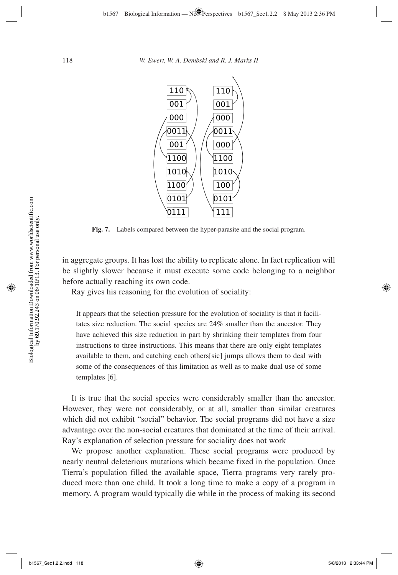

**Fig. 7.** Labels compared between the hyper-parasite and the social program.

in aggregate groups. It has lost the ability to replicate alone. In fact replication will be slightly slower because it must execute some code belonging to a neighbor before actually reaching its own code.

Ray gives his reasoning for the evolution of sociality:

It appears that the selection pressure for the evolution of sociality is that it facilitates size reduction. The social species are 24% smaller than the ancestor. They have achieved this size reduction in part by shrinking their templates from four instructions to three instructions. This means that there are only eight templates available to them, and catching each others[sic] jumps allows them to deal with some of the consequences of this limitation as well as to make dual use of some templates [6].

It is true that the social species were considerably smaller than the ancestor. However, they were not considerably, or at all, smaller than similar creatures which did not exhibit "social" behavior. The social programs did not have a size advantage over the non-social creatures that dominated at the time of their arrival. Ray's explanation of selection pressure for sociality does not work

We propose another explanation. These social programs were produced by nearly neutral deleterious mutations which became fixed in the population. Once Tierra's population filled the available space, Tierra programs very rarely produced more than one child. It took a long time to make a copy of a program in memory. A program would typically die while in the process of making its second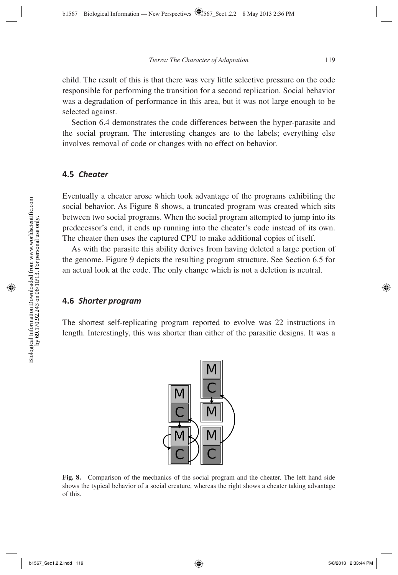child. The result of this is that there was very little selective pressure on the code responsible for performing the transition for a second replication. Social behavior was a degradation of performance in this area, but it was not large enough to be selected against.

Section 6.4 demonstrates the code differences between the hyper-parasite and the social program. The interesting changes are to the labels; everything else involves removal of code or changes with no effect on behavior.

#### **4.5** *Cheater*

Eventually a cheater arose which took advantage of the programs exhibiting the social behavior. As Figure 8 shows, a truncated program was created which sits between two social programs. When the social program attempted to jump into its predecessor's end, it ends up running into the cheater's code instead of its own. The cheater then uses the captured CPU to make additional copies of itself.

As with the parasite this ability derives from having deleted a large portion of the genome. Figure 9 depicts the resulting program structure. See Section 6.5 for an actual look at the code. The only change which is not a deletion is neutral.

#### **4.6** *Shorter program*

The shortest self-replicating program reported to evolve was 22 instructions in length. Interestingly, this was shorter than either of the parasitic designs. It was a



**Fig. 8.** Comparison of the mechanics of the social program and the cheater. The left hand side shows the typical behavior of a social creature, whereas the right shows a cheater taking advantage of this.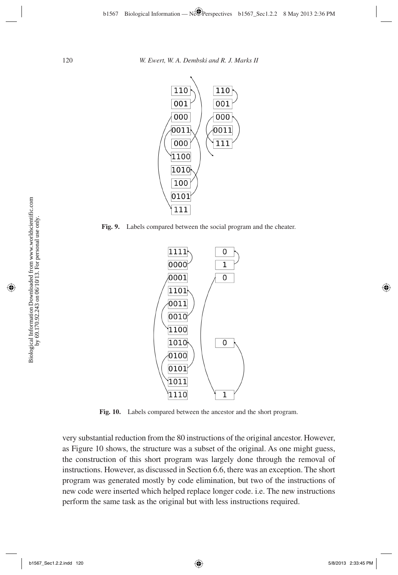

**Fig. 9.** Labels compared between the social program and the cheater.



**Fig. 10.** Labels compared between the ancestor and the short program.

very substantial reduction from the 80 instructions of the original ancestor. However, as Figure 10 shows, the structure was a subset of the original. As one might guess, the construction of this short program was largely done through the removal of instructions. However, as discussed in Section 6.6, there was an exception. The short program was generated mostly by code elimination, but two of the instructions of new code were inserted which helped replace longer code. i.e. The new instructions perform the same task as the original but with less instructions required.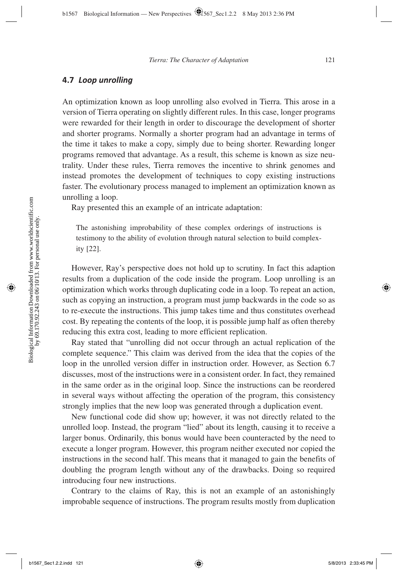#### **4.7** *Loop unrolling*

An optimization known as loop unrolling also evolved in Tierra. This arose in a version of Tierra operating on slightly different rules. In this case, longer programs were rewarded for their length in order to discourage the development of shorter and shorter programs. Normally a shorter program had an advantage in terms of the time it takes to make a copy, simply due to being shorter. Rewarding longer programs removed that advantage. As a result, this scheme is known as size neutrality. Under these rules, Tierra removes the incentive to shrink genomes and instead promotes the development of techniques to copy existing instructions faster. The evolutionary process managed to implement an optimization known as unrolling a loop.

Ray presented this an example of an intricate adaptation:

The astonishing improbability of these complex orderings of instructions is testimony to the ability of evolution through natural selection to build complexity [22].

However, Ray's perspective does not hold up to scrutiny. In fact this adaption results from a duplication of the code inside the program. Loop unrolling is an optimization which works through duplicating code in a loop. To repeat an action, such as copying an instruction, a program must jump backwards in the code so as to re-execute the instructions. This jump takes time and thus constitutes overhead cost. By repeating the contents of the loop, it is possible jump half as often thereby reducing this extra cost, leading to more efficient replication.

Ray stated that "unrolling did not occur through an actual replication of the complete sequence." This claim was derived from the idea that the copies of the loop in the unrolled version differ in instruction order. However, as Section 6.7 discusses, most of the instructions were in a consistent order. In fact, they remained in the same order as in the original loop. Since the instructions can be reordered in several ways without affecting the operation of the program, this consistency strongly implies that the new loop was generated through a duplication event.

New functional code did show up; however, it was not directly related to the unrolled loop. Instead, the program "lied" about its length, causing it to receive a larger bonus. Ordinarily, this bonus would have been counteracted by the need to execute a longer program. However, this program neither executed nor copied the instructions in the second half. This means that it managed to gain the benefits of doubling the program length without any of the drawbacks. Doing so required introducing four new instructions.

Contrary to the claims of Ray, this is not an example of an astonishingly improbable sequence of instructions. The program results mostly from duplication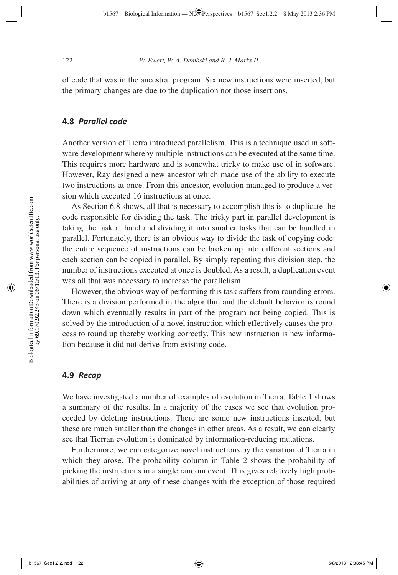of code that was in the ancestral program. Six new instructions were inserted, but the primary changes are due to the duplication not those insertions.

#### **4.8** *Parallel code*

Another version of Tierra introduced parallelism. This is a technique used in software development whereby multiple instructions can be executed at the same time. This requires more hardware and is somewhat tricky to make use of in software. However, Ray designed a new ancestor which made use of the ability to execute two instructions at once. From this ancestor, evolution managed to produce a version which executed 16 instructions at once.

As Section 6.8 shows, all that is necessary to accomplish this is to duplicate the code responsible for dividing the task. The tricky part in parallel development is taking the task at hand and dividing it into smaller tasks that can be handled in parallel. Fortunately, there is an obvious way to divide the task of copying code: the entire sequence of instructions can be broken up into different sections and each section can be copied in parallel. By simply repeating this division step, the number of instructions executed at once is doubled. As a result, a duplication event was all that was necessary to increase the parallelism.

However, the obvious way of performing this task suffers from rounding errors. There is a division performed in the algorithm and the default behavior is round down which eventually results in part of the program not being copied. This is solved by the introduction of a novel instruction which effectively causes the process to round up thereby working correctly. This new instruction is new information because it did not derive from existing code.

#### **4.9** *Recap*

We have investigated a number of examples of evolution in Tierra. Table 1 shows a summary of the results. In a majority of the cases we see that evolution proceeded by deleting instructions. There are some new instructions inserted, but these are much smaller than the changes in other areas. As a result, we can clearly see that Tierran evolution is dominated by information-reducing mutations.

Furthermore, we can categorize novel instructions by the variation of Tierra in which they arose. The probability column in Table 2 shows the probability of picking the instructions in a single random event. This gives relatively high probabilities of arriving at any of these changes with the exception of those required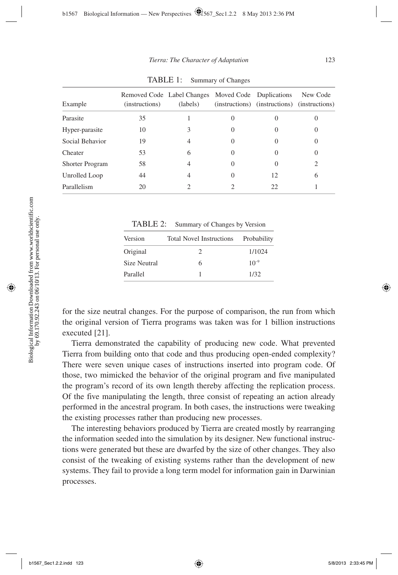| Example                | (instructions) | Removed Code Label Changes Moved Code Duplications<br>(labels) | (instructions) (instructions) (instructions) | New Code |
|------------------------|----------------|----------------------------------------------------------------|----------------------------------------------|----------|
| Parasite               | 35             |                                                                | 0                                            |          |
| Hyper-parasite         | 10             |                                                                | $\mathbf{\Omega}$                            | 0        |
| Social Behavior        | 19             | 4                                                              | $\mathcal{O}$                                | 0        |
| Cheater                | 53             | 6                                                              | $\mathbf{\Omega}$                            | 0        |
| <b>Shorter Program</b> | 58             | 4                                                              | 0                                            | 2        |
| Unrolled Loop          | 44             | 4                                                              | 12                                           | 6        |
| Parallelism            | 20             |                                                                | 22                                           |          |

TABLE 1: Summary of Changes

TABLE 2: Summary of Changes by Version

| Version      | <b>Total Novel Instructions</b> | Probability |
|--------------|---------------------------------|-------------|
| Original     |                                 | 1/1024      |
| Size Neutral | 6                               | $10^{-9}$   |
| Parallel     |                                 | 1/32        |

for the size neutral changes. For the purpose of comparison, the run from which the original version of Tierra programs was taken was for 1 billion instructions executed [21].

 Tierra demonstrated the capability of producing new code. What prevented Tierra from building onto that code and thus producing open-ended complexity? There were seven unique cases of instructions inserted into program code. Of those, two mimicked the behavior of the original program and five manipulated the program's record of its own length thereby affecting the replication process. Of the five manipulating the length, three consist of repeating an action already performed in the ancestral program. In both cases, the instructions were tweaking the existing processes rather than producing new processes.

The interesting behaviors produced by Tierra are created mostly by rearranging the information seeded into the simulation by its designer. New functional instructions were generated but these are dwarfed by the size of other changes. They also consist of the tweaking of existing systems rather than the development of new systems. They fail to provide a long term model for information gain in Darwinian processes.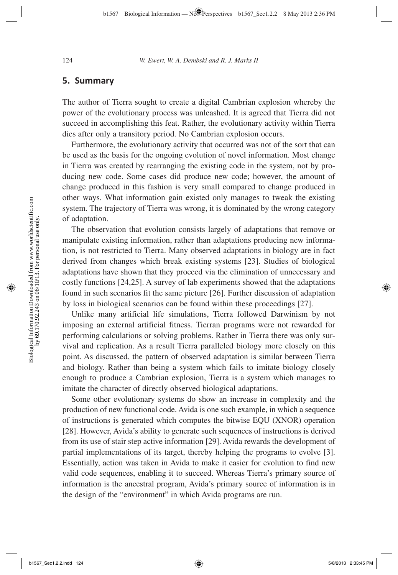### **5. Summary**

The author of Tierra sought to create a digital Cambrian explosion whereby the power of the evolutionary process was unleashed. It is agreed that Tierra did not succeed in accomplishing this feat. Rather, the evolutionary activity within Tierra dies after only a transitory period. No Cambrian explosion occurs.

Furthermore, the evolutionary activity that occurred was not of the sort that can be used as the basis for the ongoing evolution of novel information. Most change in Tierra was created by rearranging the existing code in the system, not by producing new code. Some cases did produce new code; however, the amount of change produced in this fashion is very small compared to change produced in other ways. What information gain existed only manages to tweak the existing system. The trajectory of Tierra was wrong, it is dominated by the wrong category of adaptation.

The observation that evolution consists largely of adaptations that remove or manipulate existing information, rather than adaptations producing new information, is not restricted to Tierra. Many observed adaptations in biology are in fact derived from changes which break existing systems [23]. Studies of biological adaptations have shown that they proceed via the elimination of unnecessary and costly functions [24,25]. A survey of lab experiments showed that the adaptations found in such scenarios fit the same picture [26]. Further discussion of adaptation by loss in biological scenarios can be found within these proceedings [27].

Unlike many artificial life simulations, Tierra followed Darwinism by not imposing an external artificial fitness. Tierran programs were not rewarded for performing calculations or solving problems. Rather in Tierra there was only survival and replication. As a result Tierra paralleled biology more closely on this point. As discussed, the pattern of observed adaptation is similar between Tierra and biology. Rather than being a system which fails to imitate biology closely enough to produce a Cambrian explosion, Tierra is a system which manages to imitate the character of directly observed biological adaptations.

Some other evolutionary systems do show an increase in complexity and the production of new functional code. Avida is one such example, in which a sequence of instructions is generated which computes the bitwise EQU (XNOR) operation [28]. However, Avida's ability to generate such sequences of instructions is derived from its use of stair step active information [29]. Avida rewards the development of partial implementations of its target, thereby helping the programs to evolve [3]. Essentially, action was taken in Avida to make it easier for evolution to find new valid code sequences, enabling it to succeed. Whereas Tierra's primary source of information is the ancestral program, Avida's primary source of information is in the design of the "environment" in which Avida programs are run.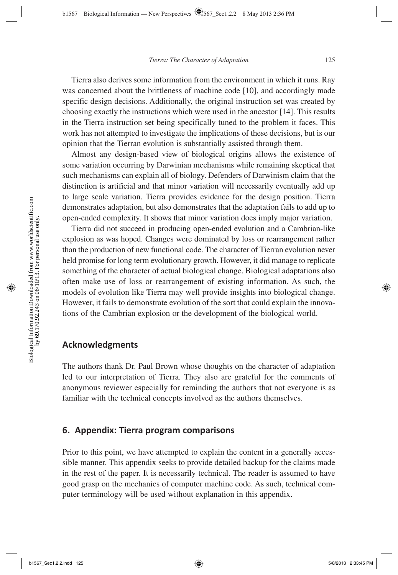Tierra also derives some information from the environment in which it runs. Ray was concerned about the brittleness of machine code [10], and accordingly made specific design decisions. Additionally, the original instruction set was created by choosing exactly the instructions which were used in the ancestor [14]. This results in the Tierra instruction set being specifically tuned to the problem it faces. This work has not attempted to investigate the implications of these decisions, but is our opinion that the Tierran evolution is substantially assisted through them.

Almost any design-based view of biological origins allows the existence of some variation occurring by Darwinian mechanisms while remaining skeptical that such mechanisms can explain all of biology. Defenders of Darwinism claim that the distinction is artificial and that minor variation will necessarily eventually add up to large scale variation. Tierra provides evidence for the design position. Tierra demonstrates adaptation, but also demonstrates that the adaptation fails to add up to open-ended complexity. It shows that minor variation does imply major variation.

Tierra did not succeed in producing open-ended evolution and a Cambrian-like explosion as was hoped. Changes were dominated by loss or rearrangement rather than the production of new functional code. The character of Tierran evolution never held promise for long term evolutionary growth. However, it did manage to replicate something of the character of actual biological change. Biological adaptations also often make use of loss or rearrangement of existing information. As such, the models of evolution like Tierra may well provide insights into biological change. However, it fails to demonstrate evolution of the sort that could explain the innovations of the Cambrian explosion or the development of the biological world.

### **Acknowledgments**

The authors thank Dr. Paul Brown whose thoughts on the character of adaptation led to our interpretation of Tierra. They also are grateful for the comments of anonymous reviewer especially for reminding the authors that not everyone is as familiar with the technical concepts involved as the authors themselves.

#### **6. Appendix: Tierra program comparisons**

Prior to this point, we have attempted to explain the content in a generally accessible manner. This appendix seeks to provide detailed backup for the claims made in the rest of the paper. It is necessarily technical. The reader is assumed to have good grasp on the mechanics of computer machine code. As such, technical computer terminology will be used without explanation in this appendix.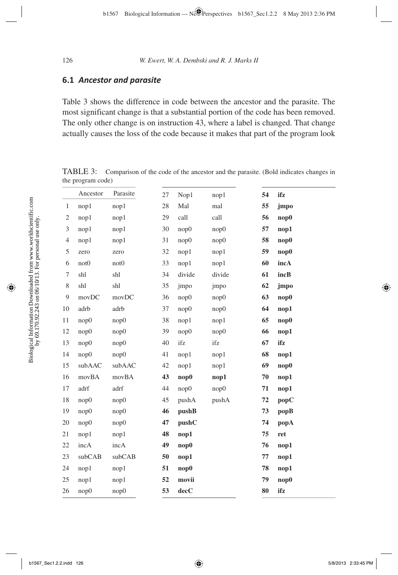#### **6.1** *Ancestor and parasite*

Table 3 shows the difference in code between the ancestor and the parasite. The most significant change is that a substantial portion of the code has been removed. The only other change is on instruction 43, where a label is changed. That change actually causes the loss of the code because it makes that part of the program look

TABLE 3: Comparison of the code of the ancestor and the parasite. (Bold indicates changes in the program code)

|                | Ancestor         | Parasite         | 27 | Nop1        | nop1   | 54 | ifz  |
|----------------|------------------|------------------|----|-------------|--------|----|------|
| $\mathbf{1}$   | nop1             | nop1             | 28 | Mal         | mal    | 55 | jmpo |
| 2              | nop1             | nop1             | 29 | call        | call   | 56 | nop0 |
| 3              | nop1             | nop1             | 30 | nop0        | nop0   | 57 | nop1 |
| $\overline{4}$ | nop1             | nop1             | 31 | nop0        | nop0   | 58 | nop0 |
| 5              | zero             | zero             | 32 | nop1        | nop1   | 59 | nop0 |
| 6              | not <sub>0</sub> | not <sub>0</sub> | 33 | nop1        | nop1   | 60 | incA |
| 7              | shl              | shl              | 34 | divide      | divide | 61 | incB |
| $8\,$          | shl              | shl              | 35 | jmpo        | jmpo   | 62 | jmpo |
| 9              | movDC            | movDC            | 36 | nop0        | nop0   | 63 | nop0 |
| 10             | adrb             | adrb             | 37 | nop0        | nop0   | 64 | nop1 |
| 11             | nop0             | nop0             | 38 | nop1        | nop1   | 65 | nop0 |
| 12             | nop0             | nop0             | 39 | nop0        | nop0   | 66 | nop1 |
| 13             | nop0             | nop0             | 40 | ifz         | ifz    | 67 | ifz  |
| 14             | nop0             | nop0             | 41 | nop1        | nop1   | 68 | nop1 |
| 15             | subAAC           | subAAC           | 42 | nop1        | nop1   | 69 | nop0 |
| 16             | movBA            | movBA            | 43 | $\bf{nop0}$ | nop1   | 70 | nop1 |
| 17             | adrf             | adrf             | 44 | nop0        | nop0   | 71 | nop1 |
| $18\,$         | nop0             | nop0             | 45 | pushA       | pushA  | 72 | popC |
| 19             | nop0             | nop0             | 46 | pushB       |        | 73 | popB |
| 20             | nop0             | nop0             | 47 | pushC       |        | 74 | popA |
| 21             | nop1             | nop1             | 48 | nop1        |        | 75 | ret  |
| 22             | incA             | incA             | 49 | nop0        |        | 76 | nop1 |
| 23             | subCAB           | subCAB           | 50 | nop1        |        | 77 | nop1 |
| 24             | nop1             | nop1             | 51 | nop0        |        | 78 | nop1 |
| 25             | nop1             | nop1             | 52 | movii       |        | 79 | nop0 |
| 26             | nop0             | nop0             | 53 | decC        |        | 80 | ifz  |
|                |                  |                  |    |             |        |    |      |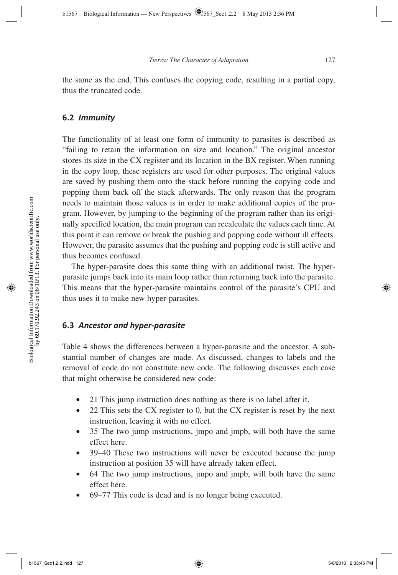the same as the end. This confuses the copying code, resulting in a partial copy, thus the truncated code.

#### **6.2** *Immunity*

The functionality of at least one form of immunity to parasites is described as "failing to retain the information on size and location." The original ancestor stores its size in the CX register and its location in the BX register. When running in the copy loop, these registers are used for other purposes. The original values are saved by pushing them onto the stack before running the copying code and popping them back off the stack afterwards. The only reason that the program needs to maintain those values is in order to make additional copies of the program. However, by jumping to the beginning of the program rather than its originally specified location, the main program can recalculate the values each time. At this point it can remove or break the pushing and popping code without ill effects. However, the parasite assumes that the pushing and popping code is still active and thus becomes confused.

The hyper-parasite does this same thing with an additional twist. The hyperparasite jumps back into its main loop rather than returning back into the parasite. This means that the hyper-parasite maintains control of the parasite's CPU and thus uses it to make new hyper-parasites.

#### **6.3** *Ancestor and hyper-parasite*

Table 4 shows the differences between a hyper-parasite and the ancestor. A substantial number of changes are made. As discussed, changes to labels and the removal of code do not constitute new code. The following discusses each case that might otherwise be considered new code:

- 21 This jump instruction does nothing as there is no label after it.
- 22 This sets the CX register to 0, but the CX register is reset by the next instruction, leaving it with no effect.
- 35 The two jump instructions, jmpo and jmpb, will both have the same effect here.
- 39–40 These two instructions will never be executed because the jump instruction at position 35 will have already taken effect.
- 64 The two jump instructions, jmpo and jmpb, will both have the same effect here.
- 69–77 This code is dead and is no longer being executed.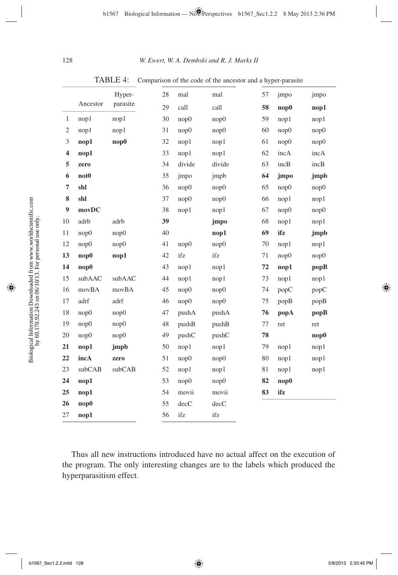|                         |                  | Hyper-   | 28 | mal    | mal    | 57 | jmpo        | jmpo        |
|-------------------------|------------------|----------|----|--------|--------|----|-------------|-------------|
|                         | Ancestor         | parasite | 29 | call   | call   | 58 | $\bf{nop0}$ | nop1        |
| $\mathbf{1}$            | nop1             | nop1     | 30 | nop0   | nop0   | 59 | nop1        | nop1        |
| $\mathfrak{2}$          | nop1             | nop1     | 31 | nop0   | nop0   | 60 | nop0        | nop0        |
| $\mathfrak{Z}$          | nop1             | nop0     | 32 | nop1   | nop1   | 61 | nop0        | nop0        |
| $\overline{\mathbf{4}}$ | nop1             |          | 33 | nop1   | nop1   | 62 | incA        | incA        |
| 5                       | zero             |          | 34 | divide | divide | 63 | incB        | incB        |
| 6                       | not <sub>0</sub> |          | 35 | jmpo   | jmpb   | 64 | jmpo        | jmpb        |
| $\overline{7}$          | shl              |          | 36 | nop0   | nop0   | 65 | nop0        | nop0        |
| 8                       | shl              |          | 37 | nop0   | nop0   | 66 | nop1        | nop1        |
| $\boldsymbol{9}$        | movDC            |          | 38 | nop1   | nop1   | 67 | nop0        | nop0        |
| 10                      | adrb             | adrb     | 39 |        | jmpo   | 68 | nop1        | nop1        |
| 11                      | nop0             | nop0     | 40 |        | nop1   | 69 | ifz         | jmpb        |
| 12                      | nop0             | nop0     | 41 | nop0   | nop0   | 70 | nop1        | nop1        |
| 13                      | nop0             | nop1     | 42 | ifz    | ifz    | 71 | nop0        | nop0        |
| 14                      | $\bf{nop0}$      |          | 43 | nop1   | nop1   | 72 | nop1        | popB        |
| 15                      | subAAC           | subAAC   | 44 | nop1   | nop1   | 73 | nop1        | nop1        |
| 16                      | movBA            | movBA    | 45 | nop0   | nop0   | 74 | popC        | popC        |
| 17                      | adrf             | adrf     | 46 | nop0   | nop0   | 75 | popB        | popB        |
| 18                      | nop0             | nop0     | 47 | pushA  | pushA  | 76 | popA        | popB        |
| 19                      | nop0             | nop0     | 48 | pushB  | pushB  | 77 | ret         | ret         |
| 20                      | nop0             | nop0     | 49 | pushC  | pushC  | 78 |             | $\bf{nop0}$ |
| 21                      | nop1             | jmpb     | 50 | nop1   | nop1   | 79 | nop1        | nop1        |
| 22                      | incA             | zero     | 51 | nop0   | nop0   | 80 | nop1        | nop1        |
| 23                      | subCAB           | subCAB   | 52 | nop1   | nop1   | 81 | nop1        | nop1        |
| 24                      | nop1             |          | 53 | nop0   | nop0   | 82 | nop0        |             |
| 25                      | nop1             |          | 54 | movii  | movii  | 83 | ifz         |             |
| 26                      | nop0             |          | 55 | decC   | decC   |    |             |             |
| 27                      | nop1             |          | 56 | ifz    | ifz    |    |             |             |

TABLE 4: Comparison of the code of the ancestor and a hyper-parasite

Thus all new instructions introduced have no actual affect on the execution of the program. The only interesting changes are to the labels which produced the hyperparasitism effect.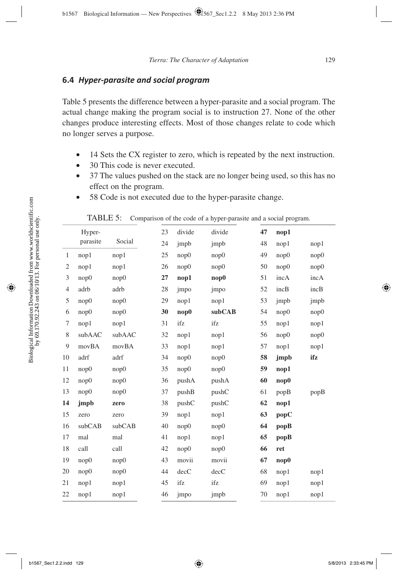### **6.4** *Hyper-parasite and social program*

Table 5 presents the difference between a hyper-parasite and a social program. The actual change making the program social is to instruction 27. None of the other changes produce interesting effects. Most of those changes relate to code which no longer serves a purpose.

- 14 Sets the CX register to zero, which is repeated by the next instruction.
- 30 This code is never executed.
- 37 The values pushed on the stack are no longer being used, so this has no effect on the program.
- 58 Code is not executed due to the hyper-parasite change.

|    | Hyper-   |        | 23 | divide          | divide | 47 | nop1        |      |
|----|----------|--------|----|-----------------|--------|----|-------------|------|
|    | parasite | Social | 24 | jmpb            | jmpb   | 48 | nop1        | nop1 |
| 1  | nop1     | nop1   | 25 | nop0            | nop0   | 49 | nop0        | nop0 |
| 2  | nop1     | nop1   | 26 | nop0            | nop0   | 50 | nop0        | nop0 |
| 3  | nop0     | nop0   | 27 | nop1            | nop0   | 51 | incA        | incA |
| 4  | adrb     | adrb   | 28 | jmpo            | jmpo   | 52 | incB        | incB |
| 5  | nop0     | nop0   | 29 | nop1            | nop1   | 53 | jmpb        | jmpb |
| 6  | nop0     | nop0   | 30 | nop0            | subCAB | 54 | nop0        | nop0 |
| 7  | nop1     | nop1   | 31 | ifz             | ifz    | 55 | nop1        | nop1 |
| 8  | subAAC   | subAAC | 32 | nop1            | nop1   | 56 | nop0        | nop0 |
| 9  | movBA    | movBA  | 33 | nop1            | nop1   | 57 | nop1        | nop1 |
| 10 | adrf     | adrf   | 34 | nop0            | nop0   | 58 | jmpb        | ifz  |
| 11 | nop0     | nop0   | 35 | nop0            | nop0   | 59 | nop1        |      |
| 12 | nop0     | nop0   | 36 | pushA           | pushA  | 60 | nop0        |      |
| 13 | nop0     | nop0   | 37 | pushB           | pushC  | 61 | popB        | popB |
| 14 | jmpb     | zero   | 38 | pushC           | pushC  | 62 | nop1        |      |
| 15 | zero     | zero   | 39 | nop1            | nop1   | 63 | popC        |      |
| 16 | subCAB   | subCAB | 40 | nop0            | nop0   | 64 | popB        |      |
| 17 | mal      | mal    | 41 | nop1            | nop1   | 65 | $\bf popB$  |      |
| 18 | call     | call   | 42 | nop0            | nop0   | 66 | ret         |      |
| 19 | nop0     | nop0   | 43 | movii           | movii  | 67 | $\bf{nop0}$ |      |
| 20 | nop0     | nop0   | 44 | $\mathrm{decC}$ | decC   | 68 | nop1        | nop1 |
| 21 | nop1     | nop1   | 45 | ifz             | ifz    | 69 | nop1        | nop1 |
| 22 | nop1     | nop1   | 46 | jmpo            | jmpb   | 70 | nop1        | nop1 |
|    |          |        |    |                 |        |    |             |      |

TABLE 5: Comparison of the code of a hyper-parasite and a social program.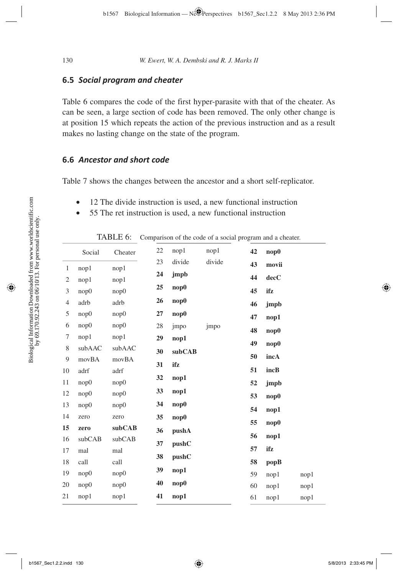### **6.5** *Social program and cheater*

Table 6 compares the code of the first hyper-parasite with that of the cheater. As can be seen, a large section of code has been removed. The only other change is at position 15 which repeats the action of the previous instruction and as a result makes no lasting change on the state of the program.

### **6.6** *Ancestor and short code*

Table 7 shows the changes between the ancestor and a short self-replicator.

- 12 The divide instruction is used, a new functional instruction
- 55 The ret instruction is used, a new functional instruction

|  |  | TABLE 6: Comparison of the code of a social program and a cheater. |  |  |
|--|--|--------------------------------------------------------------------|--|--|
|--|--|--------------------------------------------------------------------|--|--|

|                | Social | Cheater | 22 | nop1   | nop1   | 42 | nop0  |      |
|----------------|--------|---------|----|--------|--------|----|-------|------|
| $\mathbf{1}$   | nop1   | nop1    | 23 | divide | divide | 43 | movii |      |
| 2              | nop1   | nop1    | 24 | jmpb   |        | 44 | decC  |      |
| 3              | nop0   | nop0    | 25 | nop0   |        | 45 | ifz   |      |
| $\overline{4}$ | adrb   | adrb    | 26 | nop0   |        | 46 | jmpb  |      |
| 5              | nop0   | nop0    | 27 | nop0   |        | 47 | nop1  |      |
| 6              | nop0   | nop0    | 28 | jmpo   | jmpo   |    |       |      |
| 7              | nop1   | nop1    | 29 | nop1   |        | 48 | nop0  |      |
| 8              | subAAC | subAAC  | 30 | subCAB |        | 49 | nop0  |      |
| $\overline{9}$ | movBA  | movBA   | 31 | ifz    |        | 50 | incA  |      |
| 10             | adrf   | adrf    |    |        |        | 51 | incB  |      |
| 11             | nop0   | nop0    | 32 | nop1   |        | 52 | jmpb  |      |
| 12             | nop0   | nop0    | 33 | nop1   |        | 53 | nop0  |      |
| 13             | nop0   | nop0    | 34 | nop0   |        | 54 | nop1  |      |
| 14             | zero   | zero    | 35 | nop0   |        | 55 | nop0  |      |
| 15             | zero   | subCAB  | 36 | pushA  |        | 56 |       |      |
| 16             | subCAB | subCAB  | 37 | pushC  |        |    | nop1  |      |
| 17             | mal    | mal     | 38 | pushC  |        | 57 | ifz   |      |
| 18             | call   | call    | 39 | nop1   |        | 58 | popB  |      |
| 19             | nop0   | nop0    |    |        |        | 59 | nop1  | nop1 |
| 20             | nop0   | nop0    | 40 | nop0   |        | 60 | nop1  | nop1 |
| 21             | nop1   | nop1    | 41 | nop1   |        | 61 | nop1  | nop1 |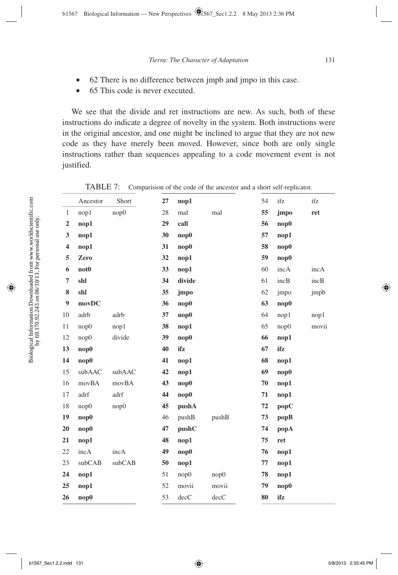- 62 There is no difference between jmpb and jmpo in this case.
- 65 This code is never executed.

We see that the divide and ret instructions are new. As such, both of these instructions do indicate a degree of novelty in the system. Both instructions were in the original ancestor, and one might be inclined to argue that they are not new code as they have merely been moved. However, since both are only single instructions rather than sequences appealing to a code movement event is not justified.

|                         | Ancestor         | Short  | 27 | nop1   |       | 54 | ifz         | ifz   |
|-------------------------|------------------|--------|----|--------|-------|----|-------------|-------|
| $\mathbf{1}$            | nop1             | nop0   | 28 | mal    | mal   | 55 | jmpo        | ret   |
| $\overline{2}$          | nop1             |        | 29 | call   |       | 56 | $\bf{nop0}$ |       |
| 3                       | nop1             |        | 30 | nop0   |       | 57 | nop1        |       |
| $\overline{\mathbf{4}}$ | nop1             |        | 31 | nop0   |       | 58 | nop0        |       |
| 5                       | Zero             |        | 32 | nop1   |       | 59 | nop0        |       |
| 6                       | not <sub>0</sub> |        | 33 | nop1   |       | 60 | incA        | incA  |
| 7                       | shl              |        | 34 | divide |       | 61 | incB        | incB  |
| 8                       | shl              |        | 35 | jmpo   |       | 62 | jmpo        | jmpb  |
| $\boldsymbol{9}$        | movDC            |        | 36 | nop0   |       | 63 | nop0        |       |
| 10                      | adrb             | adrb   | 37 | nop0   |       | 64 | nop1        | nop1  |
| 11                      | nop0             | nop1   | 38 | nop1   |       | 65 | nop0        | movii |
| 12                      | nop0             | divide | 39 | nop0   |       | 66 | nop1        |       |
| 13                      | nop0             |        | 40 | ifz    |       | 67 | ifz         |       |
| 14                      | nop0             |        | 41 | nop1   |       | 68 | nop1        |       |
| 15                      | subAAC           | subAAC | 42 | nop1   |       | 69 | nop0        |       |
| 16                      | movBA            | movBA  | 43 | nop0   |       | 70 | nop1        |       |
| 17                      | adrf             | adrf   | 44 | nop0   |       | 71 | nop1        |       |
| 18                      | nop0             | nop0   | 45 | pushA  |       | 72 | popC        |       |
| 19                      | nop0             |        | 46 | pushB  | pushB | 73 | popB        |       |
| 20                      | nop0             |        | 47 | pushC  |       | 74 | popA        |       |
| 21                      | nop1             |        | 48 | nop1   |       | 75 | ret         |       |
| 22                      | incA             | incA   | 49 | nop0   |       | 76 | nop1        |       |
| 23                      | subCAB           | subCAB | 50 | nop1   |       | 77 | nop1        |       |
| 24                      | nop1             |        | 51 | nop0   | nop0  | 78 | nop1        |       |
| 25                      | nop1             |        | 52 | movii  | movii | 79 | nop0        |       |
| 26                      | nop0             |        | 53 | decC   | decC  | 80 | ifz         |       |

TABLE 7: Comparision of the code of the ancestor and a short self-replicator.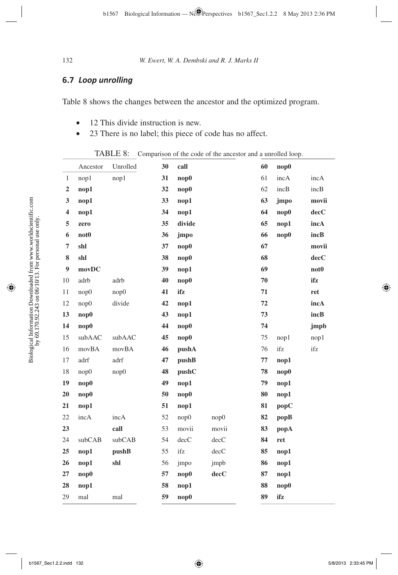## **6.7** *Loop unrolling*

Table 8 shows the changes between the ancestor and the optimized program.

- 12 This divide instruction is new.
- 23 There is no label; this piece of code has no affect.

TABLE 8: Comparison of the code of the ancestor and a unrolled loop.

|                         | Ancestor         | Unrolled | 30 | call   |                 | 60 | nop0        |                  |
|-------------------------|------------------|----------|----|--------|-----------------|----|-------------|------------------|
| $\mathbf{1}$            | nop1             | nop1     | 31 | nop0   |                 | 61 | incA        | incA             |
| $\mathbf 2$             | nop1             |          | 32 | nop0   |                 | 62 | incB        | incB             |
| 3                       | nop1             |          | 33 | nop1   |                 | 63 | jmpo        | movii            |
| $\overline{\mathbf{4}}$ | nop1             |          | 34 | nop1   |                 | 64 | nop0        | decC             |
| 5                       | zero             |          | 35 | divide |                 | 65 | nop1        | incA             |
| 6                       | not <sub>0</sub> |          | 36 | jmpo   |                 | 66 | $\bf{nop0}$ | incB             |
| 7                       | shl              |          | 37 | nop0   |                 | 67 |             | movii            |
| 8                       | shl              |          | 38 | nop0   |                 | 68 |             | decC             |
| 9                       | movDC            |          | 39 | nop1   |                 | 69 |             | not <sub>0</sub> |
| 10                      | adrb             | adrb     | 40 | nop0   |                 | 70 |             | ifz              |
| 11                      | nop0             | nop0     | 41 | ifz    |                 | 71 |             | ret              |
| 12                      | nop0             | divide   | 42 | nop1   |                 | 72 |             | incA             |
| 13                      | nop0             |          | 43 | nop1   |                 | 73 |             | incB             |
| 14                      | nop0             |          | 44 | nop0   |                 | 74 |             | jmpb             |
| 15                      | subAAC           | subAAC   | 45 | nop0   |                 | 75 | nop1        | nop1             |
| 16                      | movBA            | movBA    | 46 | pushA  |                 | 76 | ifz         | ifz              |
| 17                      | adrf             | adrf     | 47 | pushB  |                 | 77 | nop1        |                  |
| 18                      | nop0             | nop0     | 48 | pushC  |                 | 78 | nop0        |                  |
| 19                      | nop0             |          | 49 | nop1   |                 | 79 | nop1        |                  |
| 20                      | nop0             |          | 50 | nop0   |                 | 80 | nop1        |                  |
| 21                      | nop1             |          | 51 | nop1   |                 | 81 | popC        |                  |
| 22                      | incA             | incA     | 52 | nop0   | nop0            | 82 | popB        |                  |
| 23                      |                  | call     | 53 | movii  | movii           | 83 | popA        |                  |
| 24                      | subCAB           | subCAB   | 54 | decC   | $\mathrm{decC}$ | 84 | ret         |                  |
| 25                      | nop1             | pushB    | 55 | ifz    | decC            | 85 | nop1        |                  |
| 26                      | nop1             | shl      | 56 | jmpo   | jmpb            | 86 | nop1        |                  |
| 27                      | nop0             |          | 57 | nop0   | decC            | 87 | nop1        |                  |
| 28                      | nop1             |          | 58 | nop1   |                 | 88 | nop0        |                  |
| 29                      | mal              | mal      | 59 | nop0   |                 | 89 | ifz         |                  |
|                         |                  |          |    |        |                 |    |             |                  |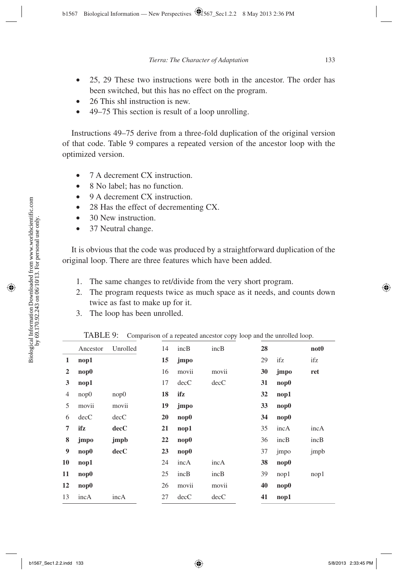- 25, 29 These two instructions were both in the ancestor. The order has been switched, but this has no effect on the program.
- 26 This shl instruction is new.
- 49–75 This section is result of a loop unrolling.

Instructions 49–75 derive from a three-fold duplication of the original version of that code. Table 9 compares a repeated version of the ancestor loop with the optimized version.

- 7 A decrement CX instruction.
- 8 No label; has no function.
- 9 A decrement CX instruction.
- 28 Has the effect of decrementing CX.
- 30 New instruction.
- 37 Neutral change.

It is obvious that the code was produced by a straightforward duplication of the original loop. There are three features which have been added.

- 1. The same changes to ret/divide from the very short program.
- 2. The program requests twice as much space as it needs, and counts down twice as fast to make up for it.
- 3. The loop has been unrolled.

|                | Ancestor    | Unrolled | 14 | incB        | incB  | 28 |             | not <sub>0</sub> |
|----------------|-------------|----------|----|-------------|-------|----|-------------|------------------|
| 1              | nop1        |          | 15 | jmpo        |       | 29 | ifz         | ifz              |
| $\overline{2}$ | $\bf{nop0}$ |          | 16 | movii       | movii | 30 | jmpo        | ret              |
| 3              | nop1        |          | 17 | decC        | decC  | 31 | nop0        |                  |
| 4              | nop0        | nop0     | 18 | ifz         |       | 32 | nop1        |                  |
| 5              | movii       | movii    | 19 | jmpo        |       | 33 | $\bf{nop0}$ |                  |
| 6              | decC        | decC     | 20 | $\bf{nop0}$ |       | 34 | $\bf{nop0}$ |                  |
| 7              | ifz         | decC     | 21 | nop1        |       | 35 | incA        | incA             |
| 8              | jmpo        | jmpb     | 22 | nop0        |       | 36 | incB        | incB             |
| 9              | nop0        | decC     | 23 | $\bf{nop0}$ |       | 37 | jmpo        | jmpb             |
| 10             | nop1        |          | 24 | incA        | incA  | 38 | $\bf{nop0}$ |                  |
| 11             | $\bf{nop0}$ |          | 25 | incB        | incB  | 39 | nop1        | nop1             |
| 12             | $\bf{nop0}$ |          | 26 | movii       | movii | 40 | nop0        |                  |
| 13             | incA        | incA     | 27 | decC        | decC  | 41 | nop1        |                  |

TABLE 9: Comparison of a repeated ancestor copy loop and the unrolled loop.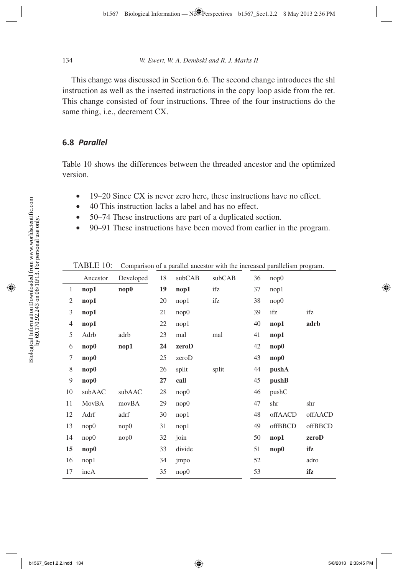This change was discussed in Section 6.6. The second change introduces the shl instruction as well as the inserted instructions in the copy loop aside from the ret. This change consisted of four instructions. Three of the four instructions do the same thing, i.e., decrement CX.

### **6.8** *Parallel*

Table 10 shows the differences between the threaded ancestor and the optimized version.

- 19–20 Since CX is never zero here, these instructions have no effect.
- 40 This instruction lacks a label and has no effect.
- 50–74 These instructions are part of a duplicated section.
- 90–91 These instructions have been moved from earlier in the program.

|                | Ancestor    | Developed   | 18 | subCAB | subCAB | 36 | nop0    |         |
|----------------|-------------|-------------|----|--------|--------|----|---------|---------|
| $\mathbf{1}$   | nop1        | $\bf{nop0}$ | 19 | nop1   | ifz    | 37 | nop1    |         |
| $\mathfrak{2}$ | nop1        |             | 20 | nop1   | ifz    | 38 | nop0    |         |
| 3              | nop1        |             | 21 | nop0   |        | 39 | ifz     | ifz     |
| $\overline{4}$ | nop1        |             | 22 | nop1   |        | 40 | nop1    | adrb    |
| 5              | Adrb        | adrb        | 23 | mal    | mal    | 41 | nop1    |         |
| 6              | $\bf{nop0}$ | nop1        | 24 | zeroD  |        | 42 | nop0    |         |
| 7              | nop0        |             | 25 | zeroD  |        | 43 | nop0    |         |
| 8              | nop0        |             | 26 | split  | split  | 44 | pushA   |         |
| 9              | nop0        |             | 27 | call   |        | 45 | pushB   |         |
| 10             | subAAC      | subAAC      | 28 | nop0   |        | 46 | pushC   |         |
| 11             | MovBA       | movBA       | 29 | nop0   |        | 47 | shr     | shr     |
| 12             | Adrf        | adrf        | 30 | nop1   |        | 48 | offAACD | offAACD |
| 13             | nop0        | nop0        | 31 | nop1   |        | 49 | offBBCD | offBBCD |
| 14             | nop0        | nop0        | 32 | join   |        | 50 | nop1    | zeroD   |
| 15             | nop0        |             | 33 | divide |        | 51 | nop0    | ifz     |
| 16             | nop1        |             | 34 | jmpo   |        | 52 |         | adro    |
| 17             | incA        |             | 35 | nop0   |        | 53 |         | ifz     |

TABLE 10: Comparison of a parallel ancestor with the increased parallelism program.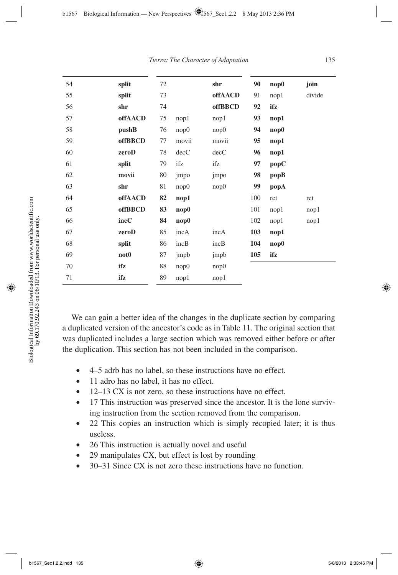| 54 | split            | 72 |       | shr            | 90  | nop0 | join   |
|----|------------------|----|-------|----------------|-----|------|--------|
| 55 | split            | 73 |       | offAACD        | 91  | nop1 | divide |
| 56 | shr              | 74 |       | <b>offBBCD</b> | 92  | ifz  |        |
| 57 | offAACD          | 75 | nop1  | nop1           | 93  | nop1 |        |
| 58 | pushB            | 76 | nop0  | nop0           | 94  | nop0 |        |
| 59 | <b>offBBCD</b>   | 77 | movii | movii          | 95  | nop1 |        |
| 60 | zeroD            | 78 | decC  | decC           | 96  | nop1 |        |
| 61 | split            | 79 | ifz   | ifz            | 97  | popC |        |
| 62 | movii            | 80 | jmpo  | jmpo           | 98  | popB |        |
| 63 | shr              | 81 | nop0  | nop0           | 99  | popA |        |
| 64 | offAACD          | 82 | nop1  |                | 100 | ret  | ret    |
| 65 | offBBCD          | 83 | nop0  |                | 101 | nop1 | nop1   |
| 66 | incC             | 84 | nop0  |                | 102 | nop1 | nop1   |
| 67 | zeroD            | 85 | incA  | incA           | 103 | nop1 |        |
| 68 | split            | 86 | incB  | incB           | 104 | nop0 |        |
| 69 | not <sub>0</sub> | 87 | jmpb  | jmpb           | 105 | ifz  |        |
| 70 | ifz              | 88 | nop0  | nop0           |     |      |        |
| 71 | ifz              | 89 | nop1  | nop1           |     |      |        |
|    |                  |    |       |                |     |      |        |

We can gain a better idea of the changes in the duplicate section by comparing a duplicated version of the ancestor's code as in Table 11. The original section that was duplicated includes a large section which was removed either before or after the duplication. This section has not been included in the comparison.

- 4–5 adrb has no label, so these instructions have no effect.
- 11 adro has no label, it has no effect.
- 12–13 CX is not zero, so these instructions have no effect.
- 17 This instruction was preserved since the ancestor. It is the lone surviving instruction from the section removed from the comparison.
- 22 This copies an instruction which is simply recopied later; it is thus useless.
- 26 This instruction is actually novel and useful
- 29 manipulates CX, but effect is lost by rounding
- 30–31 Since CX is not zero these instructions have no function.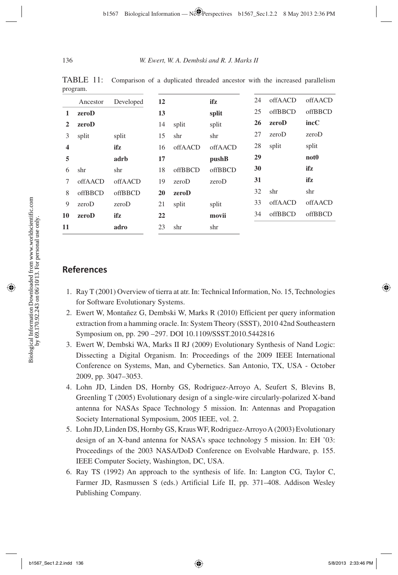| $P^{\text{1}}$ |          |           |    |         |         |    |         |                  |
|----------------|----------|-----------|----|---------|---------|----|---------|------------------|
|                | Ancestor | Developed | 12 |         | ifz     | 24 | offAACD | offAACD          |
| 1              | zeroD    |           | 13 |         | split   | 25 | offBBCD | offBBCD          |
| $\mathbf{2}$   | zeroD    |           | 14 | split   | split   | 26 | zeroD   | incC             |
| 3              | split    | split     | 15 | shr     | shr     | 27 | zeroD   | zeroD            |
| 4              |          | ifz       | 16 | offAACD | offAACD | 28 | split   | split            |
| 5              |          | adrb      | 17 |         | pushB   | 29 |         | not <sub>0</sub> |
| 6              | shr      | shr       | 18 | offBBCD | offBBCD | 30 |         | ifz              |
| 7              | offAACD  | offAACD   | 19 | zeroD   | zeroD   | 31 |         | ifz              |
| 8              | offBBCD  | offBBCD   | 20 | zeroD   |         | 32 | shr     | shr              |
| 9              | zeroD    | zeroD     | 21 | split   | split   | 33 | offAACD | offAACD          |
| 10             | zeroD    | ifz       | 22 |         | movii   | 34 | offBBCD | offBBCD          |
| 11             |          | adro      | 23 | shr     | shr     |    |         |                  |
|                |          |           |    |         |         |    |         |                  |

TABLE 11: Comparison of a duplicated threaded ancestor with the increased parallelism program

### **References**

- 1. Ray T (2001) Overview of tierra at atr. In: Technical Information, No. 15, Technologies for Software Evolutionary Systems.
- 2. Ewert W, Montañez G, Dembski W, Marks R (2010) Efficient per query information extraction from a hamming oracle. In: System Theory (SSST), 2010 42nd Southeastern Symposium on, pp. 290 –297. DOI 10.1109/SSST.2010.5442816
- 3. Ewert W, Dembski WA, Marks II RJ (2009) Evolutionary Synthesis of Nand Logic: Dissecting a Digital Organism. In: Proceedings of the 2009 IEEE International Conference on Systems, Man, and Cybernetics. San Antonio, TX, USA - October 2009, pp. 3047–3053.
- 4. Lohn JD, Linden DS, Hornby GS, Rodriguez-Arroyo A, Seufert S, Blevins B, Greenling T (2005) Evolutionary design of a single-wire circularly-polarized X-band antenna for NASAs Space Technology 5 mission. In: Antennas and Propagation Society International Symposium, 2005 IEEE, vol. 2.
- 5. Lohn JD, Linden DS, Hornby GS, Kraus WF, Rodriguez-Arroyo A (2003) Evolutionary design of an X-band antenna for NASA's space technology 5 mission. In: EH '03: Proceedings of the 2003 NASA/DoD Conference on Evolvable Hardware, p. 155. IEEE Computer Society, Washington, DC, USA.
- 6. Ray TS (1992) An approach to the synthesis of life. In: Langton CG, Taylor C, Farmer JD, Rasmussen S (eds.) Artificial Life II, pp. 371–408. Addison Wesley Publishing Company.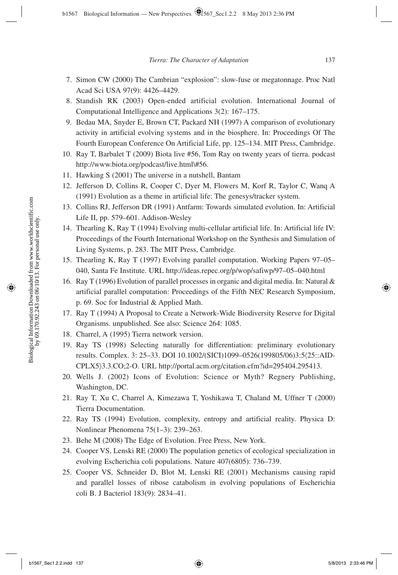- 7. Simon CW (2000) The Cambrian "explosion": slow-fuse or megatonnage. Proc Natl Acad Sci USA 97(9): 4426–4429.
- 8. Standish RK (2003) Open-ended artificial evolution. International Journal of Computational Intelligence and Applications 3(2): 167–175.
- 9. Bedau MA, Snyder E, Brown CT, Packard NH (1997) A comparison of evolutionary activity in artificial evolving systems and in the biosphere. In: Proceedings Of The Fourth European Conference On Artificial Life, pp. 125–134. MIT Press, Cambridge.
- 10. Ray T, Barbalet T (2009) Biota live #56, Tom Ray on twenty years of tierra. podcast http://www.biota.org/podcast/live.html\#56.
- 11. Hawking S (2001) The universe in a nutshell, Bantam
- 12. Jefferson D, Collins R, Cooper C, Dyer M, Flowers M, Korf R, Taylor C, Wanq A (1991) Evolution as a theme in artificial life: The genesys/tracker system.
- 13. Collins RJ, Jefferson DR (1991) Antfarm: Towards simulated evolution. In: Artificial Life II, pp. 579–601. Addison-Wesley
- 14. Thearling K, Ray T (1994) Evolving multi-cellular artificial life. In: Artificial life IV: Proceedings of the Fourth International Workshop on the Synthesis and Simulation of Living Systems, p. 283. The MIT Press, Cambridge.
- 15. Thearling K, Ray T (1997) Evolving parallel computation. Working Papers 97–05– 040, Santa Fe Institute. URL http://ideas.repec.org/p/wop/safiwp/97–05–040.html
- 16. Ray T (1996) Evolution of parallel processes in organic and digital media. In: Natural & artificial parallel computation: Proceedings of the Fifth NEC Research Symposium, p. 69. Soc for Industrial & Applied Math.
- 17. Ray T (1994) A Proposal to Create a Network-Wide Biodiversity Reserve for Digital Organisms. unpublished. See also: Science 264: 1085.
- 18. Charrel, A (1995) Tierra network version.
- 19. Ray TS (1998) Selecting naturally for differentiation: preliminary evolutionary results. Complex. 3: 25–33. DOI 10.1002/(SICI)1099–0526(199805/06)3:5〈25::AID-CPLX5〉3.3.CO;2-O. URL http://portal.acm.org/citation.cfm?id=295404.295413.
- 20. Wells J. (2002) Icons of Evolution: Science or Myth? Regnery Publishing, Washington, DC.
- 21. Ray T, Xu C, Charrel A, Kimezawa T, Yoshikawa T, Chaland M, Uffner T (2000) Tierra Documentation.
- 22. Ray TS (1994) Evolution, complexity, entropy and artificial reality. Physica D: Nonlinear Phenomena 75(1–3): 239–263.
- 23. Behe M (2008) The Edge of Evolution. Free Press, New York.
- 24. Cooper VS, Lenski RE (2000) The population genetics of ecological specialization in evolving Escherichia coli populations. Nature 407(6805): 736–739.
- 25. Cooper VS, Schneider D, Blot M, Lenski RE (2001) Mechanisms causing rapid and parallel losses of ribose catabolism in evolving populations of Escherichia coli B. J Bacteriol 183(9): 2834–41.